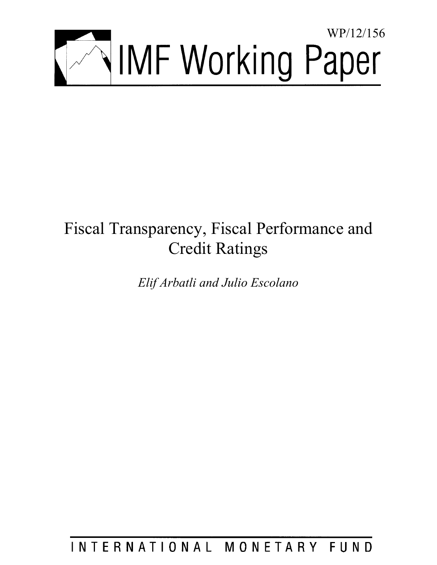

# Fiscal Transparency, Fiscal Performance and Credit Ratings

*Elif Arbatli and Julio Escolano* 

INTERNATIONAL MONETARY FUND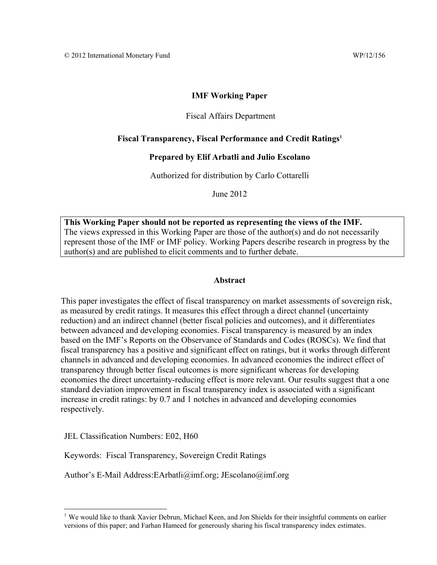# **IMF Working Paper**

# Fiscal Affairs Department

# Fiscal Transparency, Fiscal Performance and Credit Ratings<sup>1</sup>

# **Prepared by Elif Arbatli and Julio Escolano**

### Authorized for distribution by Carlo Cottarelli

June 2012

**This Working Paper should not be reported as representing the views of the IMF.**  The views expressed in this Working Paper are those of the author(s) and do not necessarily represent those of the IMF or IMF policy. Working Papers describe research in progress by the author(s) and are published to elicit comments and to further debate.

# **Abstract**

This paper investigates the effect of fiscal transparency on market assessments of sovereign risk, as measured by credit ratings. It measures this effect through a direct channel (uncertainty reduction) and an indirect channel (better fiscal policies and outcomes), and it differentiates between advanced and developing economies. Fiscal transparency is measured by an index based on the IMF's Reports on the Observance of Standards and Codes (ROSCs). We find that fiscal transparency has a positive and significant effect on ratings, but it works through different channels in advanced and developing economies. In advanced economies the indirect effect of transparency through better fiscal outcomes is more significant whereas for developing economies the direct uncertainty-reducing effect is more relevant. Our results suggest that a one standard deviation improvement in fiscal transparency index is associated with a significant increase in credit ratings: by 0.7 and 1 notches in advanced and developing economies respectively.

JEL Classification Numbers: E02, H60

 $\overline{a}$ 

Keywords: Fiscal Transparency, Sovereign Credit Ratings

Author's E-Mail Address: EArbatli@imf.org; JEscolano@imf.org

<sup>&</sup>lt;sup>1</sup> We would like to thank Xavier Debrun, Michael Keen, and Jon Shields for their insightful comments on earlier versions of this paper; and Farhan Hameed for generously sharing his fiscal transparency index estimates.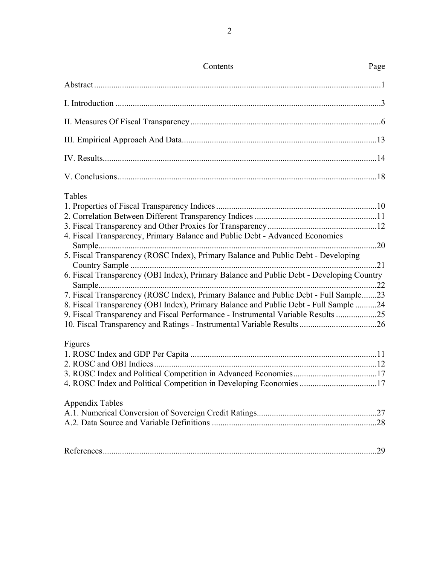| Contents                                                                                 | Page |
|------------------------------------------------------------------------------------------|------|
|                                                                                          |      |
|                                                                                          |      |
|                                                                                          |      |
|                                                                                          |      |
|                                                                                          |      |
|                                                                                          |      |
| Tables                                                                                   |      |
|                                                                                          |      |
|                                                                                          |      |
|                                                                                          |      |
| 4. Fiscal Transparency, Primary Balance and Public Debt - Advanced Economies             |      |
|                                                                                          |      |
| 5. Fiscal Transparency (ROSC Index), Primary Balance and Public Debt - Developing        |      |
|                                                                                          |      |
| 6. Fiscal Transparency (OBI Index), Primary Balance and Public Debt - Developing Country |      |
|                                                                                          |      |
| 7. Fiscal Transparency (ROSC Index), Primary Balance and Public Debt - Full Sample23     |      |
| 8. Fiscal Transparency (OBI Index), Primary Balance and Public Debt - Full Sample 24     |      |
| 9. Fiscal Transparency and Fiscal Performance - Instrumental Variable Results 25         |      |
|                                                                                          |      |
| Figures                                                                                  |      |
|                                                                                          |      |
|                                                                                          |      |
|                                                                                          |      |
| 4. ROSC Index and Political Competition in Developing Economies 17                       |      |
| Appendix Tables                                                                          |      |
|                                                                                          |      |
|                                                                                          |      |
|                                                                                          |      |
|                                                                                          |      |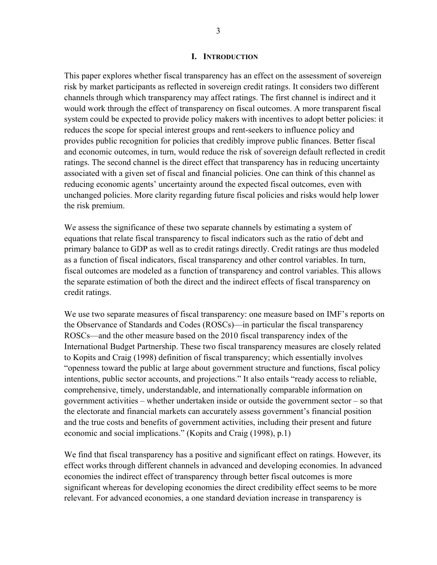### **I. INTRODUCTION**

This paper explores whether fiscal transparency has an effect on the assessment of sovereign risk by market participants as reflected in sovereign credit ratings. It considers two different channels through which transparency may affect ratings. The first channel is indirect and it would work through the effect of transparency on fiscal outcomes. A more transparent fiscal system could be expected to provide policy makers with incentives to adopt better policies: it reduces the scope for special interest groups and rent-seekers to influence policy and provides public recognition for policies that credibly improve public finances. Better fiscal and economic outcomes, in turn, would reduce the risk of sovereign default reflected in credit ratings. The second channel is the direct effect that transparency has in reducing uncertainty associated with a given set of fiscal and financial policies. One can think of this channel as reducing economic agents' uncertainty around the expected fiscal outcomes, even with unchanged policies. More clarity regarding future fiscal policies and risks would help lower the risk premium.

We assess the significance of these two separate channels by estimating a system of equations that relate fiscal transparency to fiscal indicators such as the ratio of debt and primary balance to GDP as well as to credit ratings directly. Credit ratings are thus modeled as a function of fiscal indicators, fiscal transparency and other control variables. In turn, fiscal outcomes are modeled as a function of transparency and control variables. This allows the separate estimation of both the direct and the indirect effects of fiscal transparency on credit ratings.

We use two separate measures of fiscal transparency: one measure based on IMF's reports on the Observance of Standards and Codes (ROSCs)—in particular the fiscal transparency ROSCs—and the other measure based on the 2010 fiscal transparency index of the International Budget Partnership. These two fiscal transparency measures are closely related to Kopits and Craig (1998) definition of fiscal transparency; which essentially involves "openness toward the public at large about government structure and functions, fiscal policy intentions, public sector accounts, and projections." It also entails "ready access to reliable, comprehensive, timely, understandable, and internationally comparable information on government activities – whether undertaken inside or outside the government sector – so that the electorate and financial markets can accurately assess government's financial position and the true costs and benefits of government activities, including their present and future economic and social implications." (Kopits and Craig (1998), p.1)

We find that fiscal transparency has a positive and significant effect on ratings. However, its effect works through different channels in advanced and developing economies. In advanced economies the indirect effect of transparency through better fiscal outcomes is more significant whereas for developing economies the direct credibility effect seems to be more relevant. For advanced economies, a one standard deviation increase in transparency is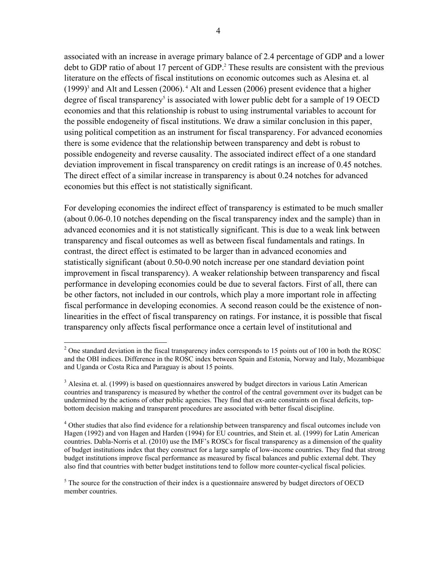associated with an increase in average primary balance of 2.4 percentage of GDP and a lower debt to GDP ratio of about 17 percent of GDP.<sup>2</sup> These results are consistent with the previous literature on the effects of fiscal institutions on economic outcomes such as Alesina et. al  $(1999)^3$  and Alt and Lessen  $(2006)$ .<sup>4</sup> Alt and Lessen  $(2006)$  present evidence that a higher degree of fiscal transparency<sup>5</sup> is associated with lower public debt for a sample of 19 OECD economies and that this relationship is robust to using instrumental variables to account for the possible endogeneity of fiscal institutions. We draw a similar conclusion in this paper, using political competition as an instrument for fiscal transparency. For advanced economies there is some evidence that the relationship between transparency and debt is robust to possible endogeneity and reverse causality. The associated indirect effect of a one standard deviation improvement in fiscal transparency on credit ratings is an increase of 0.45 notches. The direct effect of a similar increase in transparency is about 0.24 notches for advanced economies but this effect is not statistically significant.

For developing economies the indirect effect of transparency is estimated to be much smaller (about 0.06-0.10 notches depending on the fiscal transparency index and the sample) than in advanced economies and it is not statistically significant. This is due to a weak link between transparency and fiscal outcomes as well as between fiscal fundamentals and ratings. In contrast, the direct effect is estimated to be larger than in advanced economies and statistically significant (about 0.50-0.90 notch increase per one standard deviation point improvement in fiscal transparency). A weaker relationship between transparency and fiscal performance in developing economies could be due to several factors. First of all, there can be other factors, not included in our controls, which play a more important role in affecting fiscal performance in developing economies. A second reason could be the existence of nonlinearities in the effect of fiscal transparency on ratings. For instance, it is possible that fiscal transparency only affects fiscal performance once a certain level of institutional and

<sup>&</sup>lt;sup>2</sup> One standard deviation in the fiscal transparency index corresponds to 15 points out of 100 in both the ROSC and the OBI indices. Difference in the ROSC index between Spain and Estonia, Norway and Italy, Mozambique and Uganda or Costa Rica and Paraguay is about 15 points.

<sup>&</sup>lt;sup>3</sup> Alesina et. al. (1999) is based on questionnaires answered by budget directors in various Latin American countries and transparency is measured by whether the control of the central government over its budget can be undermined by the actions of other public agencies. They find that ex-ante constraints on fiscal deficits, topbottom decision making and transparent procedures are associated with better fiscal discipline.

<sup>&</sup>lt;sup>4</sup> Other studies that also find evidence for a relationship between transparency and fiscal outcomes include von Hagen (1992) and von Hagen and Harden (1994) for EU countries, and Stein et. al. (1999) for Latin American countries. Dabla-Norris et al. (2010) use the IMF's ROSCs for fiscal transparency as a dimension of the quality of budget institutions index that they construct for a large sample of low-income countries. They find that strong budget institutions improve fiscal performance as measured by fiscal balances and public external debt. They also find that countries with better budget institutions tend to follow more counter-cyclical fiscal policies.

 $<sup>5</sup>$  The source for the construction of their index is a questionnaire answered by budget directors of OECD</sup> member countries.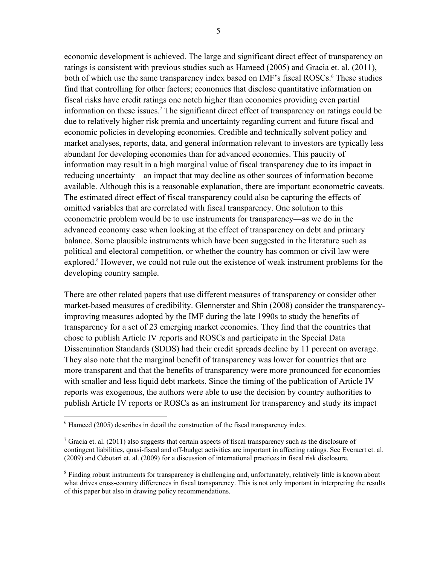economic development is achieved. The large and significant direct effect of transparency on ratings is consistent with previous studies such as Hameed (2005) and Gracia et. al. (2011), both of which use the same transparency index based on IMF's fiscal ROSCs.<sup>6</sup> These studies find that controlling for other factors; economies that disclose quantitative information on fiscal risks have credit ratings one notch higher than economies providing even partial information on these issues.7 The significant direct effect of transparency on ratings could be due to relatively higher risk premia and uncertainty regarding current and future fiscal and economic policies in developing economies. Credible and technically solvent policy and market analyses, reports, data, and general information relevant to investors are typically less abundant for developing economies than for advanced economies. This paucity of information may result in a high marginal value of fiscal transparency due to its impact in reducing uncertainty—an impact that may decline as other sources of information become available. Although this is a reasonable explanation, there are important econometric caveats. The estimated direct effect of fiscal transparency could also be capturing the effects of omitted variables that are correlated with fiscal transparency. One solution to this econometric problem would be to use instruments for transparency—as we do in the advanced economy case when looking at the effect of transparency on debt and primary balance. Some plausible instruments which have been suggested in the literature such as political and electoral competition, or whether the country has common or civil law were explored.<sup>8</sup> However, we could not rule out the existence of weak instrument problems for the developing country sample.

There are other related papers that use different measures of transparency or consider other market-based measures of credibility. Glennerster and Shin (2008) consider the transparencyimproving measures adopted by the IMF during the late 1990s to study the benefits of transparency for a set of 23 emerging market economies. They find that the countries that chose to publish Article IV reports and ROSCs and participate in the Special Data Dissemination Standards (SDDS) had their credit spreads decline by 11 percent on average. They also note that the marginal benefit of transparency was lower for countries that are more transparent and that the benefits of transparency were more pronounced for economies with smaller and less liquid debt markets. Since the timing of the publication of Article IV reports was exogenous, the authors were able to use the decision by country authorities to publish Article IV reports or ROSCs as an instrument for transparency and study its impact

<sup>&</sup>lt;sup>6</sup> Hameed (2005) describes in detail the construction of the fiscal transparency index.

<sup>&</sup>lt;sup>7</sup> Gracia et. al. (2011) also suggests that certain aspects of fiscal transparency such as the disclosure of contingent liabilities, quasi-fiscal and off-budget activities are important in affecting ratings. See Everaert et. al. (2009) and Cebotari et. al. (2009) for a discussion of international practices in fiscal risk disclosure.

<sup>&</sup>lt;sup>8</sup> Finding robust instruments for transparency is challenging and, unfortunately, relatively little is known about what drives cross-country differences in fiscal transparency. This is not only important in interpreting the results of this paper but also in drawing policy recommendations.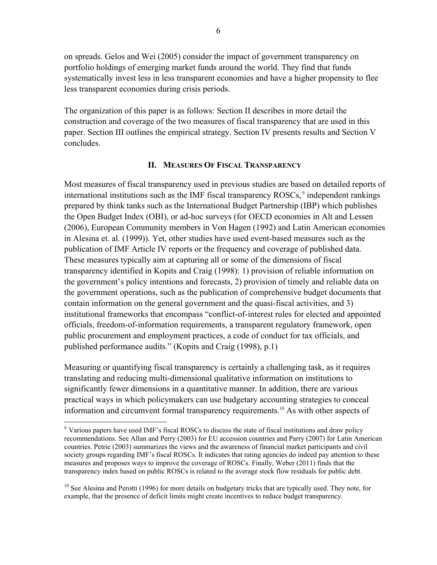on spreads. Gelos and Wei (2005) consider the impact of government transparency on portfolio holdings of emerging market funds around the world. They find that funds systematically invest less in less transparent economies and have a higher propensity to flee less transparent economies during crisis periods.

The organization of this paper is as follows: Section II describes in more detail the construction and coverage of the two measures of fiscal transparency that are used in this paper. Section III outlines the empirical strategy. Section IV presents results and Section V concludes.

# **II. MEASURES OF FISCAL TRANSPARENCY**

Most measures of fiscal transparency used in previous studies are based on detailed reports of international institutions such as the IMF fiscal transparency ROSCs, 9 independent rankings prepared by think tanks such as the International Budget Partnership (IBP) which publishes the Open Budget Index (OBI), or ad-hoc surveys (for OECD economies in Alt and Lessen (2006), European Community members in Von Hagen (1992) and Latin American economies in Alesina et. al. (1999)). Yet, other studies have used event-based measures such as the publication of IMF Article IV reports or the frequency and coverage of published data. These measures typically aim at capturing all or some of the dimensions of fiscal transparency identified in Kopits and Craig (1998): 1) provision of reliable information on the government's policy intentions and forecasts, 2) provision of timely and reliable data on the government operations, such as the publication of comprehensive budget documents that contain information on the general government and the quasi-fiscal activities, and 3) institutional frameworks that encompass "conflict-of-interest rules for elected and appointed officials, freedom-of-information requirements, a transparent regulatory framework, open public procurement and employment practices, a code of conduct for tax officials, and published performance audits." (Kopits and Craig (1998), p.1)

Measuring or quantifying fiscal transparency is certainly a challenging task, as it requires translating and reducing multi-dimensional qualitative information on institutions to significantly fewer dimensions in a quantitative manner. In addition, there are various practical ways in which policymakers can use budgetary accounting strategies to conceal information and circumvent formal transparency requirements.10 As with other aspects of

 $\overline{a}$ 

<sup>&</sup>lt;sup>9</sup> Various papers have used IMF's fiscal ROSCs to discuss the state of fiscal institutions and draw policy recommendations. See Allan and Perry (2003) for EU accession countries and Parry (2007) for Latin American countries. Petrie (2003) summarizes the views and the awareness of financial market participants and civil society groups regarding IMF's fiscal ROSCs. It indicates that rating agencies do indeed pay attention to these measures and proposes ways to improve the coverage of ROSCs. Finally, Weber (2011) finds that the transparency index based on public ROSCs is related to the average stock flow residuals for public debt.

<sup>&</sup>lt;sup>10</sup> See Alesina and Perotti (1996) for more details on budgetary tricks that are typically used. They note, for example, that the presence of deficit limits might create incentives to reduce budget transparency.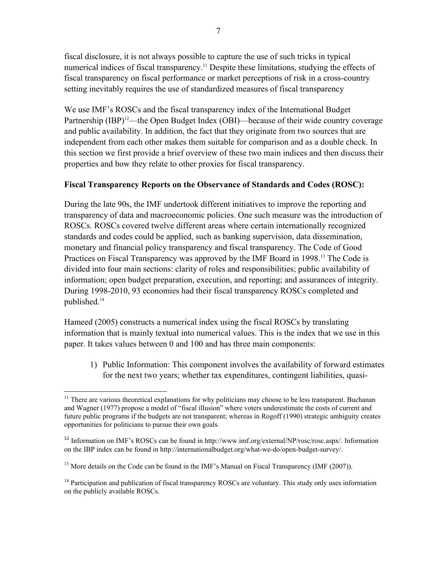fiscal disclosure, it is not always possible to capture the use of such tricks in typical numerical indices of fiscal transparency.<sup>11</sup> Despite these limitations, studying the effects of fiscal transparency on fiscal performance or market perceptions of risk in a cross-country setting inevitably requires the use of standardized measures of fiscal transparency

We use IMF's ROSCs and the fiscal transparency index of the International Budget Partnership (IBP)<sup>12</sup>—the Open Budget Index (OBI)—because of their wide country coverage and public availability. In addition, the fact that they originate from two sources that are independent from each other makes them suitable for comparison and as a double check. In this section we first provide a brief overview of these two main indices and then discuss their properties and how they relate to other proxies for fiscal transparency.

# **Fiscal Transparency Reports on the Observance of Standards and Codes (ROSC):**

During the late 90s, the IMF undertook different initiatives to improve the reporting and transparency of data and macroeconomic policies. One such measure was the introduction of ROSCs. ROSCs covered twelve different areas where certain internationally recognized standards and codes could be applied, such as banking supervision, data dissemination, monetary and financial policy transparency and fiscal transparency. The Code of Good Practices on Fiscal Transparency was approved by the IMF Board in 1998.<sup>13</sup> The Code is divided into four main sections: clarity of roles and responsibilities; public availability of information; open budget preparation, execution, and reporting; and assurances of integrity. During 1998-2010, 93 economies had their fiscal transparency ROSCs completed and published.14

Hameed (2005) constructs a numerical index using the fiscal ROSCs by translating information that is mainly textual into numerical values. This is the index that we use in this paper. It takes values between 0 and 100 and has three main components:

1) Public Information: This component involves the availability of forward estimates for the next two years; whether tax expenditures, contingent liabilities, quasi-

 $\overline{a}$ <sup>11</sup> There are various theoretical explanations for why politicians may choose to be less transparent. Buchanan and Wagner (1977) propose a model of "fiscal illusion" where voters underestimate the costs of current and future public programs if the budgets are not transparent; whereas in Rogoff (1990) strategic ambiguity creates opportunities for politicians to pursue their own goals.

<sup>&</sup>lt;sup>12</sup> Information on IMF's ROSCs can be found in http://www.imf.org/external/NP/rosc/rosc.aspx/. Information on the IBP index can be found in http://internationalbudget.org/what-we-do/open-budget-survey/.

<sup>&</sup>lt;sup>13</sup> More details on the Code can be found in the IMF's Manual on Fiscal Transparency (IMF (2007)).

<sup>&</sup>lt;sup>14</sup> Participation and publication of fiscal transparency ROSCs are voluntary. This study only uses information on the publicly available ROSCs.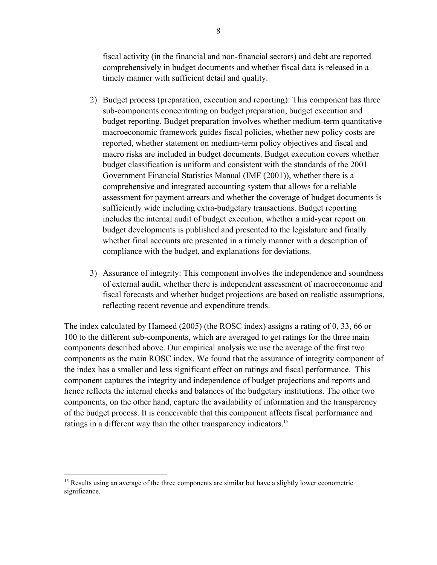fiscal activity (in the financial and non-financial sectors) and debt are reported comprehensively in budget documents and whether fiscal data is released in a timely manner with sufficient detail and quality.

- 2) Budget process (preparation, execution and reporting): This component has three sub-components concentrating on budget preparation, budget execution and budget reporting. Budget preparation involves whether medium-term quantitative macroeconomic framework guides fiscal policies, whether new policy costs are reported, whether statement on medium-term policy objectives and fiscal and macro risks are included in budget documents. Budget execution covers whether budget classification is uniform and consistent with the standards of the 2001 Government Financial Statistics Manual (IMF (2001)), whether there is a comprehensive and integrated accounting system that allows for a reliable assessment for payment arrears and whether the coverage of budget documents is sufficiently wide including extra-budgetary transactions. Budget reporting includes the internal audit of budget execution, whether a mid-year report on budget developments is published and presented to the legislature and finally whether final accounts are presented in a timely manner with a description of compliance with the budget, and explanations for deviations.
- 3) Assurance of integrity: This component involves the independence and soundness of external audit, whether there is independent assessment of macroeconomic and fiscal forecasts and whether budget projections are based on realistic assumptions, reflecting recent revenue and expenditure trends.

The index calculated by Hameed (2005) (the ROSC index) assigns a rating of 0, 33, 66 or 100 to the different sub-components, which are averaged to get ratings for the three main components described above. Our empirical analysis we use the average of the first two components as the main ROSC index. We found that the assurance of integrity component of the index has a smaller and less significant effect on ratings and fiscal performance. This component captures the integrity and independence of budget projections and reports and hence reflects the internal checks and balances of the budgetary institutions. The other two components, on the other hand, capture the availability of information and the transparency of the budget process. It is conceivable that this component affects fiscal performance and ratings in a different way than the other transparency indicators.<sup>15</sup>

1

<sup>&</sup>lt;sup>15</sup> Results using an average of the three components are similar but have a slightly lower econometric significance.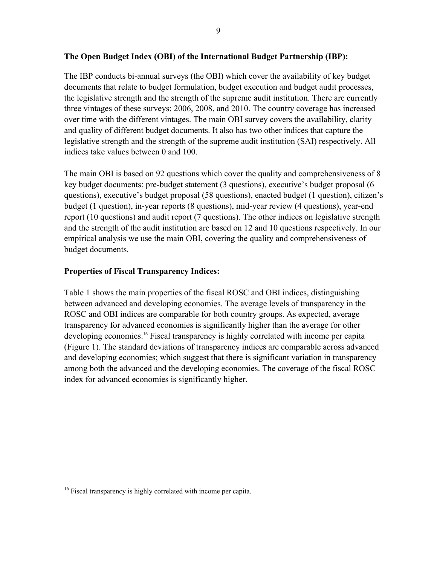# **The Open Budget Index (OBI) of the International Budget Partnership (IBP):**

The IBP conducts bi-annual surveys (the OBI) which cover the availability of key budget documents that relate to budget formulation, budget execution and budget audit processes, the legislative strength and the strength of the supreme audit institution. There are currently three vintages of these surveys: 2006, 2008, and 2010. The country coverage has increased over time with the different vintages. The main OBI survey covers the availability, clarity and quality of different budget documents. It also has two other indices that capture the legislative strength and the strength of the supreme audit institution (SAI) respectively. All indices take values between 0 and 100.

The main OBI is based on 92 questions which cover the quality and comprehensiveness of 8 key budget documents: pre-budget statement (3 questions), executive's budget proposal (6 questions), executive's budget proposal (58 questions), enacted budget (1 question), citizen's budget (1 question), in-year reports (8 questions), mid-year review (4 questions), year-end report (10 questions) and audit report (7 questions). The other indices on legislative strength and the strength of the audit institution are based on 12 and 10 questions respectively. In our empirical analysis we use the main OBI, covering the quality and comprehensiveness of budget documents.

# **Properties of Fiscal Transparency Indices:**

Table 1 shows the main properties of the fiscal ROSC and OBI indices, distinguishing between advanced and developing economies. The average levels of transparency in the ROSC and OBI indices are comparable for both country groups. As expected, average transparency for advanced economies is significantly higher than the average for other developing economies.<sup>16</sup> Fiscal transparency is highly correlated with income per capita (Figure 1). The standard deviations of transparency indices are comparable across advanced and developing economies; which suggest that there is significant variation in transparency among both the advanced and the developing economies. The coverage of the fiscal ROSC index for advanced economies is significantly higher.

1

<sup>&</sup>lt;sup>16</sup> Fiscal transparency is highly correlated with income per capita.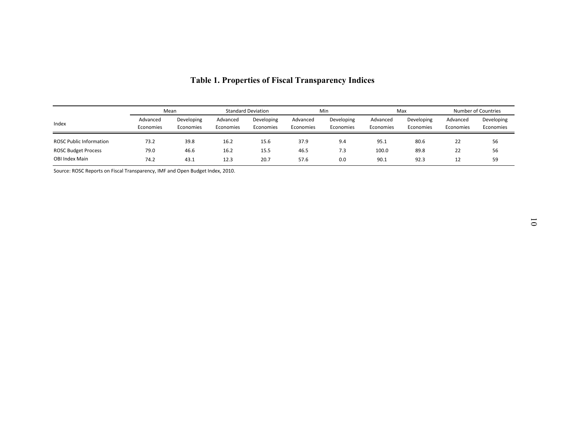|                                                                                |                       |                         |                       |                           |                       | <b>Table 1. Properties of Fiscal Transparency Indices</b> |                       |                         |                       |                         |
|--------------------------------------------------------------------------------|-----------------------|-------------------------|-----------------------|---------------------------|-----------------------|-----------------------------------------------------------|-----------------------|-------------------------|-----------------------|-------------------------|
|                                                                                |                       | Mean                    |                       | <b>Standard Deviation</b> |                       | Min                                                       |                       | Max                     |                       | Number of Countries     |
| Index                                                                          | Advanced<br>Economies | Developing<br>Economies | Advanced<br>Economies | Developing<br>Economies   | Advanced<br>Economies | Developing<br>Economies                                   | Advanced<br>Economies | Developing<br>Economies | Advanced<br>Economies | Developing<br>Economies |
| <b>ROSC Public Information</b><br>ROSC Budget Process<br><b>OBI Index Main</b> | 73.2<br>79.0<br>74.2  | 39.8<br>46.6<br>43.1    | 16.2<br>16.2<br>12.3  | 15.6<br>15.5<br>20.7      | 37.9<br>46.5<br>57.6  | 9.4<br>7.3<br>0.0                                         | 95.1<br>100.0<br>90.1 | 80.6<br>89.8<br>92.3    | 22<br>22<br>12        | 56<br>56<br>59          |
| Source: ROSC Reports on Fiscal Transparency, IMF and Open Budget Index, 2010.  |                       |                         |                       |                           |                       |                                                           |                       |                         |                       |                         |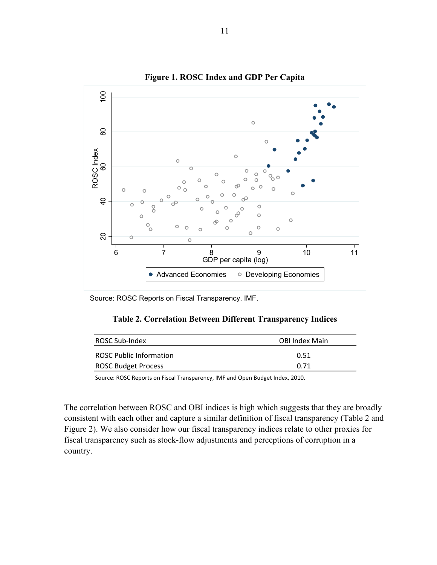

**Figure 1. ROSC Index and GDP Per Capita** 

Source: ROSC Reports on Fiscal Transparency, IMF.

### **Table 2. Correlation Between Different Transparency Indices**

| ROSC Sub-Index                 | <b>OBI Index Main</b> |
|--------------------------------|-----------------------|
| <b>ROSC Public Information</b> | 0.51                  |
| <b>ROSC Budget Process</b>     | በ 71                  |

Source: ROSC Reports on Fiscal Transparency, IMF and Open Budget Index, 2010.

The correlation between ROSC and OBI indices is high which suggests that they are broadly consistent with each other and capture a similar definition of fiscal transparency (Table 2 and Figure 2). We also consider how our fiscal transparency indices relate to other proxies for fiscal transparency such as stock-flow adjustments and perceptions of corruption in a country.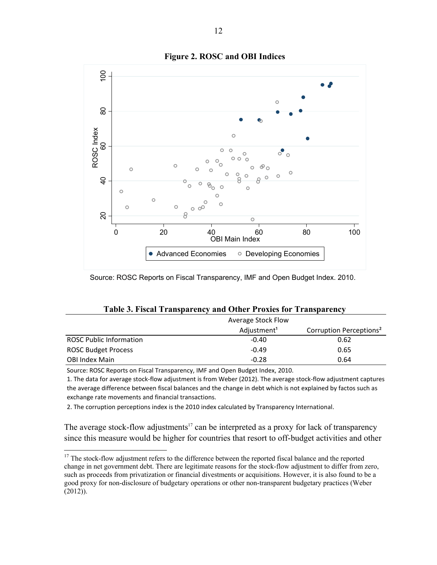

### **Figure 2. ROSC and OBI Indices**

Source: ROSC Reports on Fiscal Transparency, IMF and Open Budget Index. 2010.

#### **Table 3. Fiscal Transparency and Other Proxies for Transparency**

|                                | Average Stock Flow      |                                     |  |  |  |
|--------------------------------|-------------------------|-------------------------------------|--|--|--|
|                                | Adjustment <sup>1</sup> | Corruption Perceptions <sup>2</sup> |  |  |  |
| <b>ROSC Public Information</b> | $-0.40$                 | 0.62                                |  |  |  |
| <b>ROSC Budget Process</b>     | $-0.49$                 | 0.65                                |  |  |  |
| <b>OBI Index Main</b>          | $-0.28$                 | 0.64                                |  |  |  |

Source: ROSC Reports on Fiscal Transparency, IMF and Open Budget Index, 2010.

 $\overline{a}$ 

1. The data for average stock-flow adjustment is from Weber (2012). The average stock-flow adjustment captures the average difference between fiscal balances and the change in debt which is not explained by factos such as exchange rate movements and financial transactions.

2. The corruption perceptions index is the 2010 index calculated by Transparency International.

The average stock-flow adjustments<sup>17</sup> can be interpreted as a proxy for lack of transparency since this measure would be higher for countries that resort to off-budget activities and other

<sup>&</sup>lt;sup>17</sup> The stock-flow adjustment refers to the difference between the reported fiscal balance and the reported change in net government debt. There are legitimate reasons for the stock-flow adjustment to differ from zero, such as proceeds from privatization or financial divestments or acquisitions. However, it is also found to be a good proxy for non-disclosure of budgetary operations or other non-transparent budgetary practices (Weber (2012)).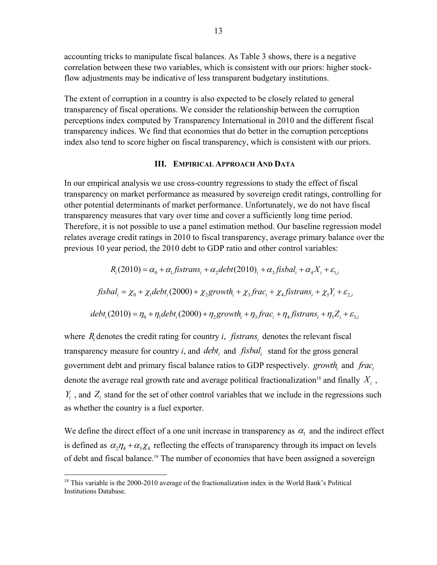accounting tricks to manipulate fiscal balances. As Table 3 shows, there is a negative correlation between these two variables, which is consistent with our priors: higher stockflow adjustments may be indicative of less transparent budgetary institutions.

The extent of corruption in a country is also expected to be closely related to general transparency of fiscal operations. We consider the relationship between the corruption perceptions index computed by Transparency International in 2010 and the different fiscal transparency indices. We find that economies that do better in the corruption perceptions index also tend to score higher on fiscal transparency, which is consistent with our priors.

### **III. EMPIRICAL APPROACH AND DATA**

In our empirical analysis we use cross-country regressions to study the effect of fiscal transparency on market performance as measured by sovereign credit ratings, controlling for other potential determinants of market performance. Unfortunately, we do not have fiscal transparency measures that vary over time and cover a sufficiently long time period. Therefore, it is not possible to use a panel estimation method. Our baseline regression model relates average credit ratings in 2010 to fiscal transparency, average primary balance over the previous 10 year period, the 2010 debt to GDP ratio and other control variables:

$$
R_i(2010) = \alpha_0 + \alpha_1 f \text{istrans}_i + \alpha_2 \text{debt}(2010)_i + \alpha_3 f \text{isbal}_i + \alpha_4 X_i + \varepsilon_{1,i}
$$
\n
$$
f \text{is bal}_i = \chi_0 + \chi_1 \text{debt}_i(2000) + \chi_2 \text{growth}_i + \chi_3 \text{frac}_i + \chi_4 \text{fistrans}_i + \chi_5 Y_i + \varepsilon_{2,i}
$$
\n
$$
\text{debt}_i(2010) = \eta_0 + \eta_1 \text{debt}_i(2000) + \eta_2 \text{growth}_i + \eta_3 \text{frac}_i + \eta_4 \text{fistrans}_i + \eta_5 Z_i + \varepsilon_{3,i}
$$

where  $R_i$  denotes the credit rating for country *i*, *fistrans*, denotes the relevant fiscal transparency measure for country  $i$ , and *debt*, and *fisbal*, stand for the gross general government debt and primary fiscal balance ratios to GDP respectively. *growth*, and *frac*, denote the average real growth rate and average political fractionalization<sup>18</sup> and finally  $X_i$ ,  $Y_i$ , and  $Z_i$  stand for the set of other control variables that we include in the regressions such as whether the country is a fuel exporter.

We define the direct effect of a one unit increase in transparency as  $\alpha_1$  and the indirect effect is defined as  $\alpha_2 \eta_4 + \alpha_3 \chi_4$  reflecting the effects of transparency through its impact on levels of debt and fiscal balance.19 The number of economies that have been assigned a sovereign

1

 $18$  This variable is the 2000-2010 average of the fractionalization index in the World Bank's Political Institutions Database.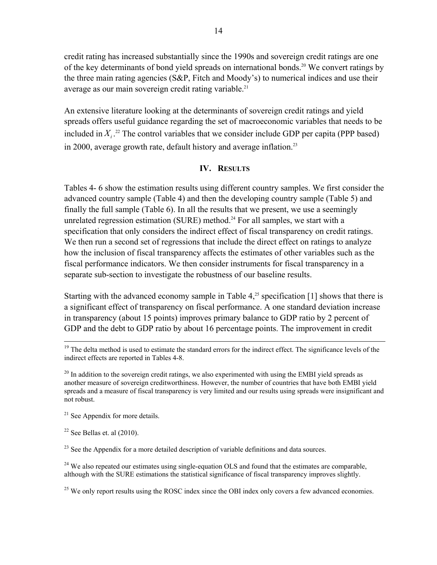credit rating has increased substantially since the 1990s and sovereign credit ratings are one of the key determinants of bond yield spreads on international bonds.<sup>20</sup> We convert ratings by the three main rating agencies (S&P, Fitch and Moody's) to numerical indices and use their average as our main sovereign credit rating variable.<sup>21</sup>

An extensive literature looking at the determinants of sovereign credit ratings and yield spreads offers useful guidance regarding the set of macroeconomic variables that needs to be included in  $X_i$ .<sup>22</sup> The control variables that we consider include GDP per capita (PPP based) in 2000, average growth rate, default history and average inflation.<sup>23</sup>

### **IV. RESULTS**

Tables 4- 6 show the estimation results using different country samples. We first consider the advanced country sample (Table 4) and then the developing country sample (Table 5) and finally the full sample (Table 6). In all the results that we present, we use a seemingly unrelated regression estimation (SURE) method.<sup>24</sup> For all samples, we start with a specification that only considers the indirect effect of fiscal transparency on credit ratings. We then run a second set of regressions that include the direct effect on ratings to analyze how the inclusion of fiscal transparency affects the estimates of other variables such as the fiscal performance indicators. We then consider instruments for fiscal transparency in a separate sub-section to investigate the robustness of our baseline results.

Starting with the advanced economy sample in Table  $4<sup>25</sup>$  specification [1] shows that there is a significant effect of transparency on fiscal performance. A one standard deviation increase in transparency (about 15 points) improves primary balance to GDP ratio by 2 percent of GDP and the debt to GDP ratio by about 16 percentage points. The improvement in credit

<sup>19</sup> The delta method is used to estimate the standard errors for the indirect effect. The significance levels of the indirect effects are reported in Tables 4-8.

 $^{20}$  In addition to the sovereign credit ratings, we also experimented with using the EMBI yield spreads as another measure of sovereign creditworthiness. However, the number of countries that have both EMBI yield spreads and a measure of fiscal transparency is very limited and our results using spreads were insignificant and not robust.

 $21$  See Appendix for more details.

 $22$  See Bellas et. al (2010).

 $^{23}$  See the Appendix for a more detailed description of variable definitions and data sources.

 $24$  We also repeated our estimates using single-equation OLS and found that the estimates are comparable, although with the SURE estimations the statistical significance of fiscal transparency improves slightly.

<sup>25</sup> We only report results using the ROSC index since the OBI index only covers a few advanced economies.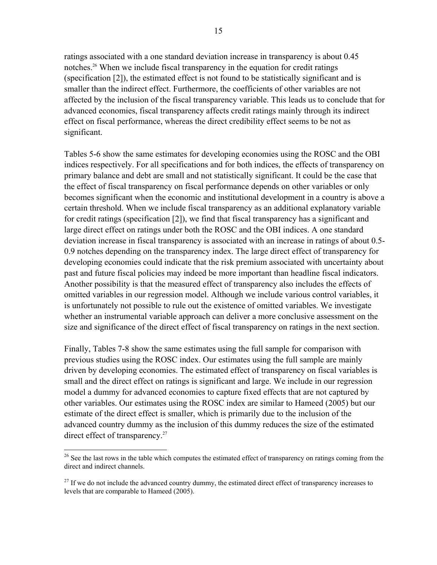ratings associated with a one standard deviation increase in transparency is about 0.45 notches.26 When we include fiscal transparency in the equation for credit ratings (specification [2]), the estimated effect is not found to be statistically significant and is smaller than the indirect effect. Furthermore, the coefficients of other variables are not affected by the inclusion of the fiscal transparency variable. This leads us to conclude that for advanced economies, fiscal transparency affects credit ratings mainly through its indirect effect on fiscal performance, whereas the direct credibility effect seems to be not as significant.

Tables 5-6 show the same estimates for developing economies using the ROSC and the OBI indices respectively. For all specifications and for both indices, the effects of transparency on primary balance and debt are small and not statistically significant. It could be the case that the effect of fiscal transparency on fiscal performance depends on other variables or only becomes significant when the economic and institutional development in a country is above a certain threshold. When we include fiscal transparency as an additional explanatory variable for credit ratings (specification [2]), we find that fiscal transparency has a significant and large direct effect on ratings under both the ROSC and the OBI indices. A one standard deviation increase in fiscal transparency is associated with an increase in ratings of about 0.5- 0.9 notches depending on the transparency index. The large direct effect of transparency for developing economies could indicate that the risk premium associated with uncertainty about past and future fiscal policies may indeed be more important than headline fiscal indicators. Another possibility is that the measured effect of transparency also includes the effects of omitted variables in our regression model. Although we include various control variables, it is unfortunately not possible to rule out the existence of omitted variables. We investigate whether an instrumental variable approach can deliver a more conclusive assessment on the size and significance of the direct effect of fiscal transparency on ratings in the next section.

Finally, Tables 7-8 show the same estimates using the full sample for comparison with previous studies using the ROSC index. Our estimates using the full sample are mainly driven by developing economies. The estimated effect of transparency on fiscal variables is small and the direct effect on ratings is significant and large. We include in our regression model a dummy for advanced economies to capture fixed effects that are not captured by other variables. Our estimates using the ROSC index are similar to Hameed (2005) but our estimate of the direct effect is smaller, which is primarily due to the inclusion of the advanced country dummy as the inclusion of this dummy reduces the size of the estimated direct effect of transparency.<sup>27</sup>

1

 $26$  See the last rows in the table which computes the estimated effect of transparency on ratings coming from the direct and indirect channels.

 $27$  If we do not include the advanced country dummy, the estimated direct effect of transparency increases to levels that are comparable to Hameed (2005).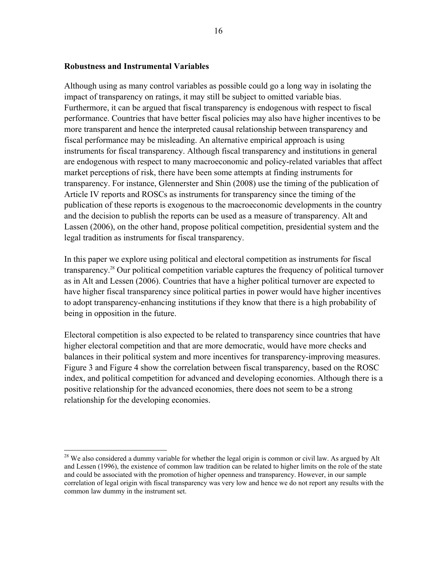### **Robustness and Instrumental Variables**

1

Although using as many control variables as possible could go a long way in isolating the impact of transparency on ratings, it may still be subject to omitted variable bias. Furthermore, it can be argued that fiscal transparency is endogenous with respect to fiscal performance. Countries that have better fiscal policies may also have higher incentives to be more transparent and hence the interpreted causal relationship between transparency and fiscal performance may be misleading. An alternative empirical approach is using instruments for fiscal transparency. Although fiscal transparency and institutions in general are endogenous with respect to many macroeconomic and policy-related variables that affect market perceptions of risk, there have been some attempts at finding instruments for transparency. For instance, Glennerster and Shin (2008) use the timing of the publication of Article IV reports and ROSCs as instruments for transparency since the timing of the publication of these reports is exogenous to the macroeconomic developments in the country and the decision to publish the reports can be used as a measure of transparency. Alt and Lassen (2006), on the other hand, propose political competition, presidential system and the legal tradition as instruments for fiscal transparency.

In this paper we explore using political and electoral competition as instruments for fiscal transparency.28 Our political competition variable captures the frequency of political turnover as in Alt and Lessen (2006). Countries that have a higher political turnover are expected to have higher fiscal transparency since political parties in power would have higher incentives to adopt transparency-enhancing institutions if they know that there is a high probability of being in opposition in the future.

Electoral competition is also expected to be related to transparency since countries that have higher electoral competition and that are more democratic, would have more checks and balances in their political system and more incentives for transparency-improving measures. Figure 3 and Figure 4 show the correlation between fiscal transparency, based on the ROSC index, and political competition for advanced and developing economies. Although there is a positive relationship for the advanced economies, there does not seem to be a strong relationship for the developing economies.

<sup>&</sup>lt;sup>28</sup> We also considered a dummy variable for whether the legal origin is common or civil law. As argued by Alt and Lessen (1996), the existence of common law tradition can be related to higher limits on the role of the state and could be associated with the promotion of higher openness and transparency. However, in our sample correlation of legal origin with fiscal transparency was very low and hence we do not report any results with the common law dummy in the instrument set.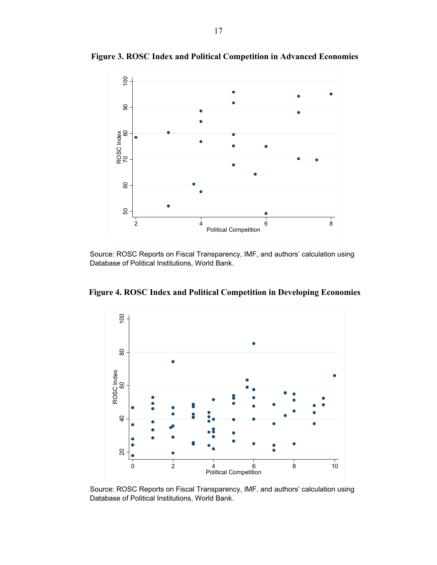

**Figure 3. ROSC Index and Political Competition in Advanced Economies** 

Source: ROSC Reports on Fiscal Transparency, IMF, and authors' calculation using Database of Political Institutions, World Bank.

**Figure 4. ROSC Index and Political Competition in Developing Economies** 



Source: ROSC Reports on Fiscal Transparency, IMF, and authors' calculation using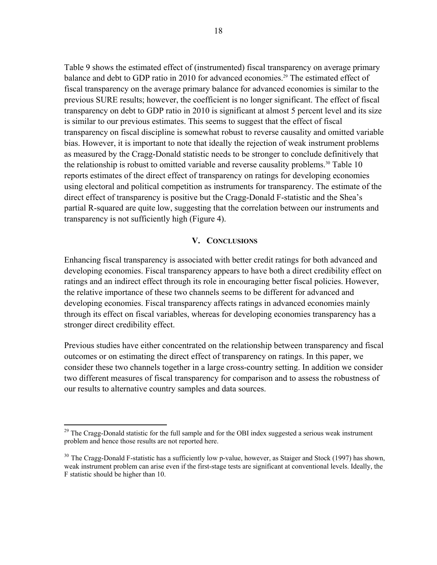Table 9 shows the estimated effect of (instrumented) fiscal transparency on average primary balance and debt to GDP ratio in 2010 for advanced economies.<sup>29</sup> The estimated effect of fiscal transparency on the average primary balance for advanced economies is similar to the previous SURE results; however, the coefficient is no longer significant. The effect of fiscal transparency on debt to GDP ratio in 2010 is significant at almost 5 percent level and its size is similar to our previous estimates. This seems to suggest that the effect of fiscal transparency on fiscal discipline is somewhat robust to reverse causality and omitted variable bias. However, it is important to note that ideally the rejection of weak instrument problems as measured by the Cragg-Donald statistic needs to be stronger to conclude definitively that the relationship is robust to omitted variable and reverse causality problems.<sup>30</sup> Table 10 reports estimates of the direct effect of transparency on ratings for developing economies using electoral and political competition as instruments for transparency. The estimate of the direct effect of transparency is positive but the Cragg-Donald F-statistic and the Shea's partial R-squared are quite low, suggesting that the correlation between our instruments and transparency is not sufficiently high (Figure 4).

### **V. CONCLUSIONS**

Enhancing fiscal transparency is associated with better credit ratings for both advanced and developing economies. Fiscal transparency appears to have both a direct credibility effect on ratings and an indirect effect through its role in encouraging better fiscal policies. However, the relative importance of these two channels seems to be different for advanced and developing economies. Fiscal transparency affects ratings in advanced economies mainly through its effect on fiscal variables, whereas for developing economies transparency has a stronger direct credibility effect.

Previous studies have either concentrated on the relationship between transparency and fiscal outcomes or on estimating the direct effect of transparency on ratings. In this paper, we consider these two channels together in a large cross-country setting. In addition we consider two different measures of fiscal transparency for comparison and to assess the robustness of our results to alternative country samples and data sources.

 $29$  The Cragg-Donald statistic for the full sample and for the OBI index suggested a serious weak instrument problem and hence those results are not reported here.

<sup>&</sup>lt;sup>30</sup> The Cragg-Donald F-statistic has a sufficiently low p-value, however, as Staiger and Stock (1997) has shown, weak instrument problem can arise even if the first-stage tests are significant at conventional levels. Ideally, the F statistic should be higher than 10.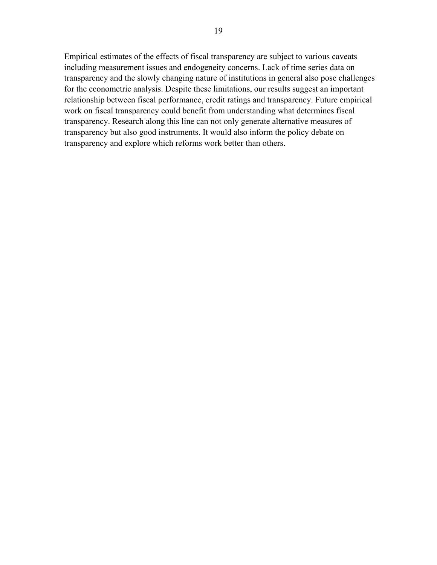Empirical estimates of the effects of fiscal transparency are subject to various caveats including measurement issues and endogeneity concerns. Lack of time series data on transparency and the slowly changing nature of institutions in general also pose challenges for the econometric analysis. Despite these limitations, our results suggest an important relationship between fiscal performance, credit ratings and transparency. Future empirical work on fiscal transparency could benefit from understanding what determines fiscal transparency. Research along this line can not only generate alternative measures of transparency but also good instruments. It would also inform the policy debate on transparency and explore which reforms work better than others.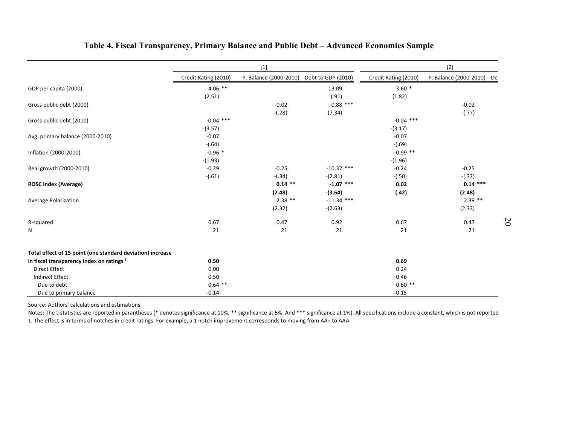|                                                            |                          | $[1]$                  |                           | $[2]$                    |                            |  |  |
|------------------------------------------------------------|--------------------------|------------------------|---------------------------|--------------------------|----------------------------|--|--|
|                                                            | Credit Rating (2010)     | P. Balance (2000-2010) | Debt to GDP (2010)        | Credit Rating (2010)     | P. Balance (2000-2010) Del |  |  |
| GDP per capita (2000)                                      | $4.06$ **<br>(2.51)      |                        | 13.09<br>(.91)            | $3.60*$<br>(1.82)        |                            |  |  |
| Gross public debt (2000)                                   |                          | $-0.02$<br>$-(.78)$    | $0.88$ ***<br>(7.34)      |                          | $-0.02$<br>$-(.77)$        |  |  |
| Gross public debt (2010)                                   | $-0.04$ ***<br>$-(3.57)$ |                        |                           | $-0.04$ ***<br>$-(3.17)$ |                            |  |  |
| Avg. primary balance (2000-2010)                           | $-0.07$<br>$-(.64)$      |                        |                           | $-0.07$<br>$-(.69)$      |                            |  |  |
| Inflation (2000-2010)                                      | $-0.96*$<br>$-(1.93)$    |                        |                           | $-0.99$ **<br>$-(1.96)$  |                            |  |  |
| Real growth (2000-2010)                                    | $-0.29$<br>$-(.61)$      | $-0.25$<br>$-(.34)$    | $-10.37$ ***<br>$-(2.81)$ | $-0.24$<br>$-(.50)$      | $-0.25$<br>$-(.33)$        |  |  |
| <b>ROSC Index (Average)</b>                                |                          | $0.14$ **<br>(2.48)    | $-1.07$ ***<br>$-(3.64)$  | 0.02<br>(.42)            | $0.14***$<br>(2.48)        |  |  |
| Average Polarization                                       |                          | $2.38$ **<br>(2.32)    | $-11.34$ ***<br>$-(2.63)$ |                          | $2.39$ **<br>(2.33)        |  |  |
| R-squared                                                  | 0.67                     | 0.47                   | 0.92                      | 0.67                     | 0.47                       |  |  |
| N                                                          | 21                       | 21                     | 21                        | 21                       | 21                         |  |  |
| Total effect of 15 point (one standard deviation) increase |                          |                        |                           |                          |                            |  |  |
| in fiscal transparency index on ratings <sup>1</sup>       | 0.50                     |                        |                           | 0.69                     |                            |  |  |
| <b>Direct Effect</b>                                       | 0.00                     |                        |                           | 0.24                     |                            |  |  |
| <b>Indirect Effect</b>                                     | 0.50                     |                        |                           | 0.46                     |                            |  |  |
| Due to debt<br>Due to primary balance                      | $0.64$ **<br>$-0.14$     |                        |                           | $0.60**$<br>$-0.15$      |                            |  |  |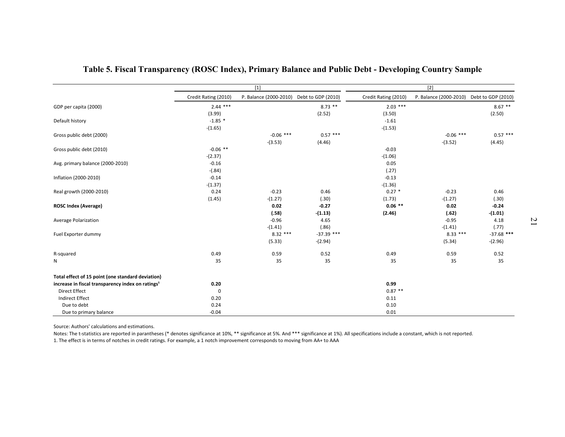|                                                               | $[1]$                |                                           |              | $[2]$                |                        |                    |  |
|---------------------------------------------------------------|----------------------|-------------------------------------------|--------------|----------------------|------------------------|--------------------|--|
|                                                               | Credit Rating (2010) | P. Balance (2000-2010) Debt to GDP (2010) |              | Credit Rating (2010) | P. Balance (2000-2010) | Debt to GDP (2010) |  |
| GDP per capita (2000)                                         | $2.44$ ***           |                                           | $8.73$ **    | $2.03***$            |                        | $8.67**$           |  |
|                                                               | (3.99)               |                                           | (2.52)       | (3.50)               |                        | (2.50)             |  |
| Default history                                               | $-1.85$ *            |                                           |              | $-1.61$              |                        |                    |  |
|                                                               | $-(1.65)$            |                                           |              | $-(1.53)$            |                        |                    |  |
| Gross public debt (2000)                                      |                      | $-0.06$ ***                               | $0.57***$    |                      | $-0.06$ ***            | $0.57$ ***         |  |
|                                                               |                      | $-(3.53)$                                 | (4.46)       |                      | $-(3.52)$              | (4.45)             |  |
| Gross public debt (2010)                                      | $-0.06$ **           |                                           |              | $-0.03$              |                        |                    |  |
| Avg. primary balance (2000-2010)                              | $-(2.37)$<br>$-0.16$ |                                           |              | $-(1.06)$<br>0.05    |                        |                    |  |
|                                                               | $-(.84)$             |                                           |              | (.27)                |                        |                    |  |
| Inflation (2000-2010)                                         | $-0.14$              |                                           |              | $-0.13$              |                        |                    |  |
|                                                               | $-(1.37)$            |                                           |              | $-(1.36)$            |                        |                    |  |
| Real growth (2000-2010)                                       | 0.24                 | $-0.23$                                   | 0.46         | $0.27*$              | $-0.23$                | 0.46               |  |
|                                                               | (1.45)               | $-(1.27)$                                 | (.30)        | (1.73)               | $-(1.27)$              | (.30)              |  |
| <b>ROSC Index (Average)</b>                                   |                      | 0.02                                      | $-0.27$      | $0.06$ **            | 0.02                   | $-0.24$            |  |
|                                                               |                      | (.58)                                     | $-(1.13)$    | (2.46)               | (.62)                  | $-(1.01)$          |  |
| <b>Average Polarization</b>                                   |                      | $-0.96$                                   | 4.65         |                      | $-0.95$                | 4.18               |  |
|                                                               |                      | $-(1.41)$                                 | (.86)        |                      | $-(1.41)$              | (.77)              |  |
| Fuel Exporter dummy                                           |                      | $8.32***$                                 | $-37.39$ *** |                      | $8.33***$              | $-37.68$ ***       |  |
|                                                               |                      | (5.33)                                    | $-(2.94)$    |                      | (5.34)                 | $-(2.96)$          |  |
| R-squared                                                     | 0.49                 | 0.59                                      | 0.52         | 0.49                 | 0.59                   | 0.52               |  |
| N                                                             | 35                   | 35                                        | 35           | 35                   | 35                     | 35                 |  |
|                                                               |                      |                                           |              |                      |                        |                    |  |
| Total effect of 15 point (one standard deviation)             |                      |                                           |              |                      |                        |                    |  |
| increase in fiscal transparency index on ratings <sup>1</sup> | 0.20                 |                                           |              | 0.99                 |                        |                    |  |
| <b>Direct Effect</b>                                          | $\mathbf 0$          |                                           |              | $0.87**$             |                        |                    |  |
| <b>Indirect Effect</b>                                        | 0.20                 |                                           |              | 0.11                 |                        |                    |  |
| Due to debt                                                   | 0.24                 |                                           |              | 0.10                 |                        |                    |  |
| Due to primary balance                                        | $-0.04$              |                                           |              | 0.01                 |                        |                    |  |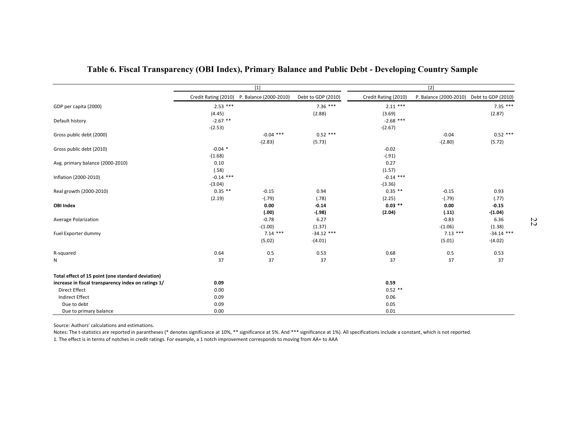|                                                     |                      | $\boxed{1}$            |                    | $[2]$                |                        |                    |
|-----------------------------------------------------|----------------------|------------------------|--------------------|----------------------|------------------------|--------------------|
|                                                     | Credit Rating (2010) | P. Balance (2000-2010) | Debt to GDP (2010) | Credit Rating (2010) | P. Balance (2000-2010) | Debt to GDP (2010) |
| GDP per capita (2000)                               | $2.53$ ***           |                        | $7.36***$          | $2.11***$            |                        | $7.35***$          |
|                                                     | (4.45)               |                        | (2.88)             | (3.69)               |                        | (2.87)             |
| Default history                                     | $-2.67$ **           |                        |                    | $-2.68$ ***          |                        |                    |
|                                                     | $-(2.53)$            |                        |                    | $-(2.67)$            |                        |                    |
| Gross public debt (2000)                            |                      | $-0.04$ ***            | $0.52$ ***         |                      | $-0.04$                | $0.52$ ***         |
|                                                     |                      | $-(2.83)$              | (5.73)             |                      | $-(2.80)$              | (5.72)             |
| Gross public debt (2010)                            | $-0.04$ *            |                        |                    | $-0.02$              |                        |                    |
|                                                     | $-(1.68)$            |                        |                    | $-(.91)$             |                        |                    |
| Avg. primary balance (2000-2010)                    | 0.10                 |                        |                    | 0.27                 |                        |                    |
|                                                     | (.58)                |                        |                    | (1.57)               |                        |                    |
| Inflation (2000-2010)                               | $-0.14$ ***          |                        |                    | $-0.14$ ***          |                        |                    |
|                                                     | $-(3.04)$            |                        |                    | $-(3.36)$            |                        |                    |
| Real growth (2000-2010)                             | $0.35$ **            | $-0.15$                | 0.94               | $0.35$ **            | $-0.15$                | 0.93               |
|                                                     | (2.19)               | $-(.79)$               | (.78)              | (2.25)               | $-(.79)$               | (.77)              |
| <b>OBI Index</b>                                    |                      | 0.00                   | $-0.14$            | $0.03$ **            | 0.00                   | $-0.15$            |
|                                                     |                      | (.00)                  | $-(.98)$           | (2.04)               | (.11)                  | -(1.04)            |
| Average Polarization                                |                      | $-0.78$<br>$-(1.00)$   | 6.27<br>(1.37)     |                      | $-0.83$<br>$-(1.06)$   | 6.36<br>(1.38)     |
| Fuel Exporter dummy                                 |                      | $7.14***$              | $-34.12$ ***       |                      | $7.13***$              | $-34.14$ ***       |
|                                                     |                      | (5.02)                 | $-(4.01)$          |                      | (5.01)                 | $-(4.02)$          |
|                                                     |                      |                        |                    |                      |                        |                    |
| R-squared                                           | 0.64                 | 0.5                    | 0.53               | 0.68                 | 0.5                    | 0.53               |
| N                                                   | 37                   | 37                     | 37                 | 37                   | 37                     | 37                 |
| Total effect of 15 point (one standard deviation)   |                      |                        |                    |                      |                        |                    |
| increase in fiscal transparency index on ratings 1/ | 0.09                 |                        |                    | 0.59                 |                        |                    |
| <b>Direct Effect</b>                                | 0.00                 |                        |                    | $0.52$ **            |                        |                    |
| <b>Indirect Effect</b>                              | 0.09                 |                        |                    | 0.06                 |                        |                    |
| Due to debt                                         | 0.09                 |                        |                    | 0.05                 |                        |                    |
| Due to primary balance                              | 0.00                 |                        |                    | 0.01                 |                        |                    |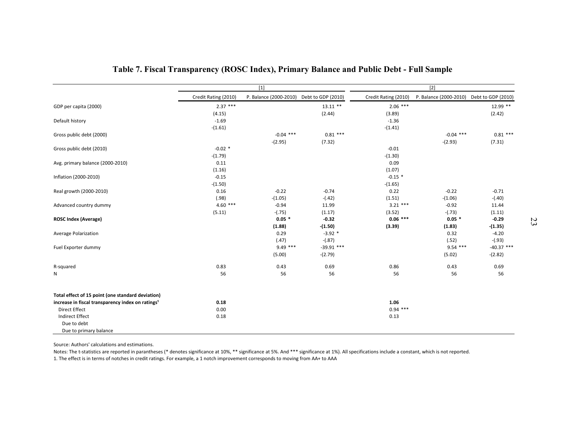|                                                               |                      | $[1]$                                     |              |                      | $[2]$                                     |              |
|---------------------------------------------------------------|----------------------|-------------------------------------------|--------------|----------------------|-------------------------------------------|--------------|
|                                                               | Credit Rating (2010) | P. Balance (2000-2010) Debt to GDP (2010) |              | Credit Rating (2010) | P. Balance (2000-2010) Debt to GDP (2010) |              |
| GDP per capita (2000)                                         | $2.37***$            |                                           | $13.11$ **   | $2.06$ ***           |                                           | 12.99 **     |
|                                                               | (4.15)               |                                           | (2.44)       | (3.89)               |                                           | (2.42)       |
| Default history                                               | $-1.69$              |                                           |              | $-1.36$              |                                           |              |
|                                                               | $-(1.61)$            |                                           |              | $-(1.41)$            |                                           |              |
| Gross public debt (2000)                                      |                      | $-0.04$ ***                               | $0.81***$    |                      | $-0.04$ ***                               | $0.81***$    |
|                                                               |                      | $-(2.95)$                                 | (7.32)       |                      | $-(2.93)$                                 | (7.31)       |
| Gross public debt (2010)                                      | $-0.02$ *            |                                           |              | $-0.01$              |                                           |              |
|                                                               | $-(1.79)$            |                                           |              | $-(1.30)$            |                                           |              |
| Avg. primary balance (2000-2010)                              | 0.11                 |                                           |              | 0.09                 |                                           |              |
|                                                               | (1.16)               |                                           |              | (1.07)               |                                           |              |
| Inflation (2000-2010)                                         | $-0.15$              |                                           |              | $-0.15$ *            |                                           |              |
| Real growth (2000-2010)                                       | $-(1.50)$<br>0.16    | $-0.22$                                   | $-0.74$      | $-(1.65)$<br>0.22    | $-0.22$                                   | $-0.71$      |
|                                                               | (.98)                | $-(1.05)$                                 | $-(.42)$     | (1.51)               | $-(1.06)$                                 | $-(.40)$     |
| Advanced country dummy                                        | $4.60***$            | $-0.94$                                   | 11.99        | $3.21$ ***           | $-0.92$                                   | 11.44        |
|                                                               | (5.11)               | $-(.75)$                                  | (1.17)       | (3.52)               | $-(.73)$                                  | (1.11)       |
| <b>ROSC Index (Average)</b>                                   |                      | $0.05*$                                   | $-0.32$      | $0.06$ ***           | $0.05*$                                   | $-0.29$      |
|                                                               |                      | (1.88)                                    | -(1.50)      | (3.39)               | (1.83)                                    | -(1.35)      |
| Average Polarization                                          |                      | 0.29                                      | $-3.92$ *    |                      | 0.32                                      | $-4.20$      |
|                                                               |                      | (.47)                                     | $-(.87)$     |                      | (.52)                                     | $-(.93)$     |
| Fuel Exporter dummy                                           |                      | $9.49$ ***                                | $-39.91$ *** |                      | $9.54$ ***                                | $-40.37$ *** |
|                                                               |                      | (5.00)                                    | $-(2.79)$    |                      | (5.02)                                    | $-(2.82)$    |
| R-squared                                                     | 0.83                 | 0.43                                      | 0.69         | 0.86                 | 0.43                                      | 0.69         |
| N                                                             | 56                   | 56                                        | 56           | 56                   | 56                                        | 56           |
|                                                               |                      |                                           |              |                      |                                           |              |
| Total effect of 15 point (one standard deviation)             |                      |                                           |              |                      |                                           |              |
| increase in fiscal transparency index on ratings <sup>1</sup> | 0.18                 |                                           |              | 1.06                 |                                           |              |
| <b>Direct Effect</b>                                          | 0.00                 |                                           |              | $0.94$ ***           |                                           |              |
| <b>Indirect Effect</b>                                        | 0.18                 |                                           |              | 0.13                 |                                           |              |
| Due to debt<br>Due to primary balance                         |                      |                                           |              |                      |                                           |              |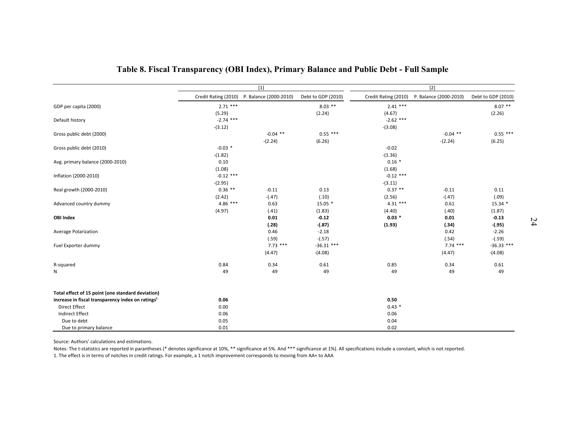|                                                               |                                             |            |                    | $[2]$                |                        |                    |  |
|---------------------------------------------------------------|---------------------------------------------|------------|--------------------|----------------------|------------------------|--------------------|--|
|                                                               | Credit Rating (2010) P. Balance (2000-2010) | $[1]$      | Debt to GDP (2010) | Credit Rating (2010) | P. Balance (2000-2010) | Debt to GDP (2010) |  |
| GDP per capita (2000)                                         | $2.71$ ***                                  |            | $8.03$ **          | $2.41***$            |                        | $8.07$ **          |  |
|                                                               | (5.29)                                      |            | (2.24)             | (4.67)               |                        | (2.26)             |  |
| Default history                                               | $-2.74$ ***                                 |            |                    | $-2.62$ ***          |                        |                    |  |
|                                                               | $-(3.12)$                                   |            |                    | $-(3.08)$            |                        |                    |  |
| Gross public debt (2000)                                      |                                             | $-0.04$ ** | $0.55$ ***         |                      | $-0.04$ **             | $0.55$ ***         |  |
|                                                               |                                             | $-(2.24)$  | (6.26)             |                      | $-(2.24)$              | (6.25)             |  |
| Gross public debt (2010)                                      | $-0.03$ *                                   |            |                    | $-0.02$              |                        |                    |  |
|                                                               | $-(1.82)$                                   |            |                    | $-(1.36)$            |                        |                    |  |
| Avg. primary balance (2000-2010)                              | 0.10                                        |            |                    | $0.16*$              |                        |                    |  |
|                                                               | (1.08)                                      |            |                    | (1.68)               |                        |                    |  |
| Inflation (2000-2010)                                         | $-0.12$ ***                                 |            |                    | $-0.12$ ***          |                        |                    |  |
|                                                               | $-(2.95)$                                   |            |                    | $-(3.11)$            |                        |                    |  |
| Real growth (2000-2010)                                       | $0.36$ **                                   | $-0.11$    | 0.13               | $0.37**$             | $-0.11$                | 0.11               |  |
|                                                               | (2.42)                                      | $-(.47)$   | (.10)              | (2.56)               | $-(.47)$               | (.09)              |  |
| Advanced country dummy                                        | $4.86***$                                   | 0.63       | $15.05*$           | $4.31***$            | 0.61                   | $15.34*$           |  |
|                                                               | (4.97)                                      | (.41)      | (1.83)             | (4.40)               | (.40)                  | (1.87)             |  |
| <b>OBI Index</b>                                              |                                             | 0.01       | $-0.12$            | $0.03*$              | 0.01                   | $-0.13$            |  |
|                                                               |                                             | (.28)      | $-(.87)$           | (1.93)               | (.34)                  | $-(.95)$           |  |
| Average Polarization                                          |                                             | 0.46       | $-2.18$            |                      | 0.42                   | $-2.26$            |  |
|                                                               |                                             | (.59)      | $-(.57)$           |                      | (.54)                  | $-(.59)$           |  |
| Fuel Exporter dummy                                           |                                             | $7.73$ *** | $-36.31$ ***       |                      | $7.74$ ***             | $-36.33$ ***       |  |
|                                                               |                                             | (4.47)     | $-(4.08)$          |                      | (4.47)                 | $-(4.08)$          |  |
| R-squared                                                     | 0.84                                        | 0.34       | 0.61               | 0.85                 | 0.34                   | 0.61               |  |
| N                                                             | 49                                          | 49         | 49                 | 49                   | 49                     | 49                 |  |
|                                                               |                                             |            |                    |                      |                        |                    |  |
| Total effect of 15 point (one standard deviation)             |                                             |            |                    |                      |                        |                    |  |
| increase in fiscal transparency index on ratings <sup>1</sup> | 0.06                                        |            |                    | 0.50                 |                        |                    |  |
| <b>Direct Effect</b>                                          | 0.00                                        |            |                    | $0.43*$              |                        |                    |  |
| Indirect Effect                                               | 0.06                                        |            |                    | 0.06                 |                        |                    |  |
| Due to debt                                                   | 0.05                                        |            |                    | 0.04                 |                        |                    |  |
| Due to primary balance                                        | 0.01                                        |            |                    | 0.02                 |                        |                    |  |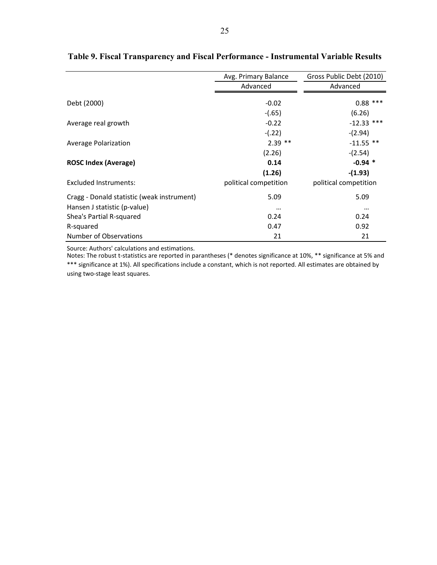|                                            | Avg. Primary Balance  | Gross Public Debt (2010) |
|--------------------------------------------|-----------------------|--------------------------|
|                                            | Advanced              | Advanced                 |
| Debt (2000)                                | $-0.02$               | $0.88$ ***               |
|                                            | $-(.65)$              | (6.26)                   |
| Average real growth                        | $-0.22$               | $-12.33$ ***             |
|                                            | $-(.22)$              | $-(2.94)$                |
| Average Polarization                       | $2.39$ **             | $-11.55$ **              |
|                                            | (2.26)                | $-(2.54)$                |
| <b>ROSC Index (Average)</b>                | 0.14                  | $-0.94$ *                |
|                                            | (1.26)                | $-(1.93)$                |
| Excluded Instruments:                      | political competition | political competition    |
| Cragg - Donald statistic (weak instrument) | 5.09                  | 5.09                     |
| Hansen J statistic (p-value)               | $\cdots$              | $\cdots$                 |
| Shea's Partial R-squared                   | 0.24                  | 0.24                     |
| R-squared                                  | 0.47                  | 0.92                     |
| Number of Observations                     | 21                    | 21                       |

# **Table 9. Fiscal Transparency and Fiscal Performance - Instrumental Variable Results**

Source: Authors' calculations and estimations.

Notes: The robust t-statistics are reported in parantheses (\* denotes significance at 10%, \*\* significance at 5% and \*\*\* significance at 1%). All specifications include a constant, which is not reported. All estimates are obtained by using two-stage least squares.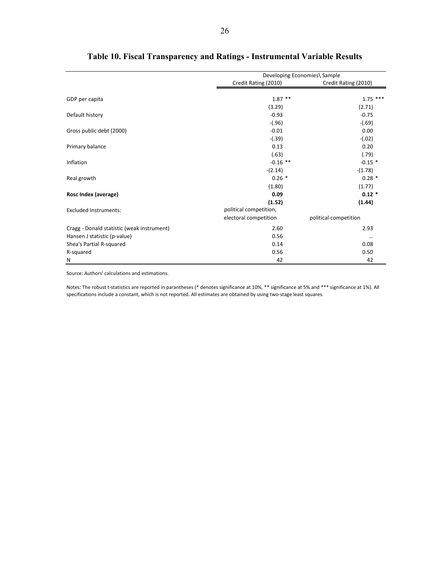|                                            |                        | Developing Economies\ Sample |
|--------------------------------------------|------------------------|------------------------------|
|                                            | Credit Rating (2010)   | Credit Rating (2010)         |
| GDP per capita                             | $1.87$ **              | $1.75$ ***                   |
|                                            | (3.29)                 | (2.71)                       |
| Default history                            | $-0.93$                | $-0.75$                      |
|                                            | $-(.96)$               | $-(.69)$                     |
| Gross public debt (2000)                   | $-0.01$                | 0.00                         |
|                                            | $-(.39)$               | $-(.02)$                     |
| Primary balance                            | 0.13                   | 0.20                         |
|                                            | (.63)                  | (.79)                        |
| Inflation                                  | $-0.16$ **             | $-0.15$ *                    |
|                                            | $-(2.14)$              | $-(1.78)$                    |
| Real growth                                | $0.26*$                | $0.28*$                      |
|                                            | (1.80)                 | (1.77)                       |
| Rosc Index (average)                       | 0.09                   | $0.12 *$                     |
|                                            | (1.52)                 | (1.44)                       |
| <b>Excluded Instruments:</b>               | political competition, |                              |
|                                            | electoral competition  | political competition        |
| Cragg - Donald statistic (weak instrument) | 2.60                   | 2.93                         |
| Hansen J statistic (p-value)               | 0.56                   |                              |
| Shea's Partial R-squared                   | 0.14                   | 0.08                         |
| R-squared                                  | 0.56                   | 0.50                         |
| Ν                                          | 42                     | 42                           |

# **Table 10. Fiscal Transparency and Ratings - Instrumental Variable Results**

Source: Authors' calculations and estimations.

Notes: The robust t-statistics are reported in parantheses (\* denotes significance at 10%, \*\* significance at 5% and \*\*\* significance at 1%). All specifications include a constant, which is not reported. All estimates are obtained by using two-stage least squares.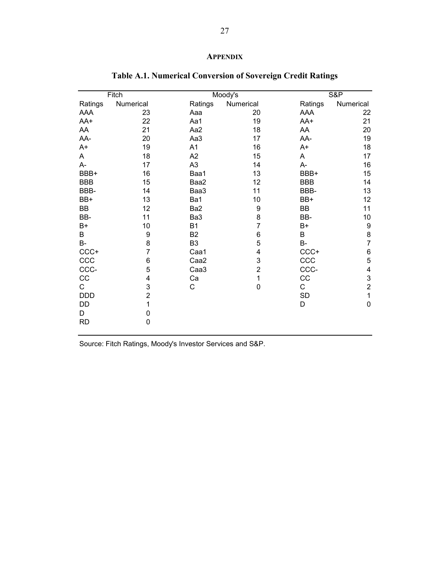# **APPENDIX**

|                  |                                                |                  |                                                                                  | <b>S&amp;P</b>            |
|------------------|------------------------------------------------|------------------|----------------------------------------------------------------------------------|---------------------------|
|                  | Ratings                                        |                  |                                                                                  | Numerical                 |
| 23               | Aaa                                            | 20               | AAA                                                                              | 22                        |
| 22               | Aa1                                            |                  | AA+                                                                              | 21                        |
| 21               | Aa2                                            | 18               | AA                                                                               | 20                        |
| 20               | Aa3                                            | 17               | AA-                                                                              | 19                        |
| 19               | A1                                             | 16               | $A+$                                                                             | 18                        |
| 18               | A2                                             | 15               | A                                                                                | 17                        |
| 17               | A <sub>3</sub>                                 | 14               | A-                                                                               | 16                        |
| 16               | Baa1                                           | 13               | BBB+                                                                             | 15                        |
| 15               | Baa2                                           | 12               | <b>BBB</b>                                                                       | 14                        |
| 14               | Baa3                                           | 11               | BBB-                                                                             | 13                        |
| 13               | Ba1                                            | 10               | BB+                                                                              | 12                        |
| 12               | Ba2                                            | 9                | <b>BB</b>                                                                        | 11                        |
| 11               | Ba3                                            | 8                | BB-                                                                              | 10                        |
| 10               | <b>B1</b>                                      |                  | B+                                                                               | $\boldsymbol{9}$          |
| $\boldsymbol{9}$ | B <sub>2</sub>                                 | $\boldsymbol{6}$ | B                                                                                | 8                         |
| 8                | B <sub>3</sub>                                 | 5                | B-                                                                               | $\overline{7}$            |
| $\overline{7}$   | Caa1                                           | 4                | CCC+                                                                             | $\,6$                     |
| $\,6$            | Caa <sub>2</sub>                               |                  | CCC                                                                              | 5                         |
|                  | Caa <sub>3</sub>                               |                  | CCC-                                                                             | $\overline{\mathbf{4}}$   |
| 4                | Ca                                             | 1                | CC                                                                               | $\ensuremath{\mathsf{3}}$ |
|                  | C                                              |                  | С                                                                                | $\overline{c}$            |
|                  |                                                |                  | <b>SD</b>                                                                        | $\mathbf{1}$              |
| 1                |                                                |                  | D                                                                                | $\mathbf 0$               |
| 0                |                                                |                  |                                                                                  |                           |
| $\mathbf 0$      |                                                |                  |                                                                                  |                           |
|                  | Fitch<br>Numerical<br>5<br>3<br>$\overline{2}$ |                  | Moody's<br>Numerical<br>19<br>$\overline{7}$<br>3<br>$\overline{c}$<br>$\pmb{0}$ | Ratings                   |

# **Table A.1. Numerical Conversion of Sovereign Credit Ratings**

Source: Fitch Ratings, Moody's Investor Services and S&P.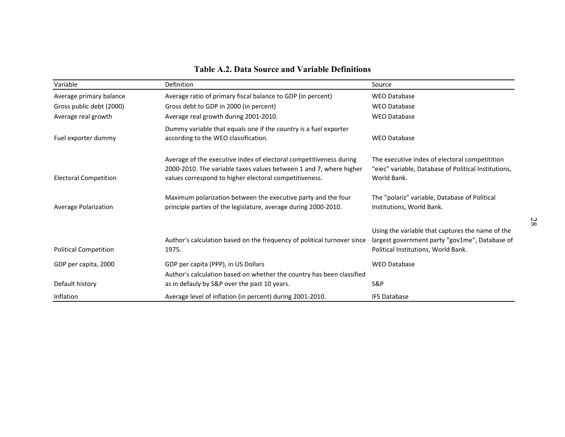| <b>Table A.2. Data Source and Variable Definitions</b> |                                                                                                                                                                                                    |                                                                                                                                           |    |
|--------------------------------------------------------|----------------------------------------------------------------------------------------------------------------------------------------------------------------------------------------------------|-------------------------------------------------------------------------------------------------------------------------------------------|----|
| Variable                                               | Definition                                                                                                                                                                                         | Source                                                                                                                                    |    |
| Average primary balance                                | Average ratio of primary fiscal balance to GDP (in percent)                                                                                                                                        | <b>WEO Database</b>                                                                                                                       |    |
| Gross public debt (2000)                               | Gross debt to GDP in 2000 (in percent)                                                                                                                                                             | <b>WEO Database</b>                                                                                                                       |    |
| Average real growth                                    | Average real growth during 2001-2010.                                                                                                                                                              | <b>WEO Database</b>                                                                                                                       |    |
| Fuel exporter dummy                                    | Dummy variable that equals one if the country is a fuel exporter<br>according to the WEO classification.                                                                                           | <b>WEO Database</b>                                                                                                                       |    |
| <b>Electoral Competition</b>                           | Average of the executive index of electoral competitiveness during<br>2000-2010. The variable taxes values between 1 and 7, where higher<br>values correspond to higher electoral competitiveness. | The executive index of electoral competitition<br>"eiec" variable, Database of Political Institutions,<br>World Bank.                     |    |
| Average Polarization                                   | Maximum polarization between the executive party and the four<br>principle parties of the legislature, average during 2000-2010.                                                                   | The "polariz" variable, Database of Political<br>Institutions, World Bank.                                                                |    |
| <b>Political Competition</b>                           | Author's calculation based on the frequency of political turnover since<br>1975.                                                                                                                   | Using the variable that captures the name of the<br>largest government party "gov1me", Database of<br>Political Institutions, World Bank. | 28 |
| GDP per capita, 2000                                   | GDP per capita (PPP), in US Dollars<br>Author's calculation based on whether the country has been classified                                                                                       | <b>WEO Database</b>                                                                                                                       |    |
| Default history                                        | as in defauly by S&P over the past 10 years.                                                                                                                                                       | S&P                                                                                                                                       |    |
| Inflation                                              | Average level of inflation (in percent) during 2001-2010.                                                                                                                                          | <b>IFS Database</b>                                                                                                                       |    |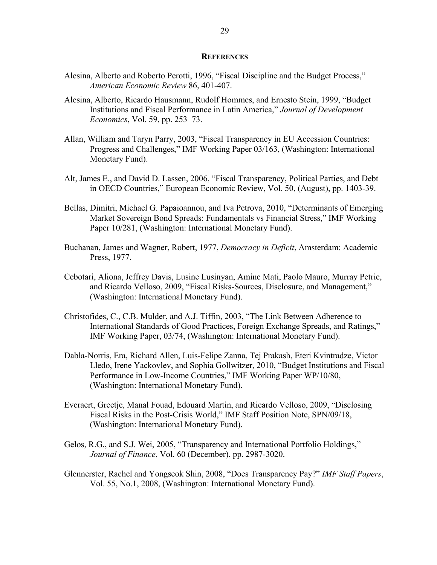#### **REFERENCES**

- Alesina, Alberto and Roberto Perotti, 1996, "Fiscal Discipline and the Budget Process," *American Economic Review* 86, 401-407.
- Alesina, Alberto, Ricardo Hausmann, Rudolf Hommes, and Ernesto Stein, 1999, "Budget Institutions and Fiscal Performance in Latin America," *Journal of Development Economics*, Vol. 59, pp. 253–73.
- Allan, William and Taryn Parry, 2003, "Fiscal Transparency in EU Accession Countries: Progress and Challenges," IMF Working Paper 03/163, (Washington: International Monetary Fund).
- Alt, James E., and David D. Lassen, 2006, "Fiscal Transparency, Political Parties, and Debt in OECD Countries," European Economic Review, Vol. 50, (August), pp. 1403-39.
- Bellas, Dimitri, Michael G. Papaioannou, and Iva Petrova, 2010, "Determinants of Emerging Market Sovereign Bond Spreads: Fundamentals vs Financial Stress," IMF Working Paper 10/281, (Washington: International Monetary Fund).
- Buchanan, James and Wagner, Robert, 1977, *Democracy in Deficit*, Amsterdam: Academic Press, 1977.
- Cebotari, Aliona, Jeffrey Davis, Lusine Lusinyan, Amine Mati, Paolo Mauro, Murray Petrie, and Ricardo Velloso, 2009, "Fiscal Risks-Sources, Disclosure, and Management," (Washington: International Monetary Fund).
- Christofides, C., C.B. Mulder, and A.J. Tiffin, 2003, "The Link Between Adherence to International Standards of Good Practices, Foreign Exchange Spreads, and Ratings," IMF Working Paper, 03/74, (Washington: International Monetary Fund).
- Dabla-Norris, Era, Richard Allen, Luis-Felipe Zanna, Tej Prakash, Eteri Kvintradze, Victor Lledo, Irene Yackovlev, and Sophia Gollwitzer, 2010, "Budget Institutions and Fiscal Performance in Low-Income Countries," IMF Working Paper WP/10/80, (Washington: International Monetary Fund).
- Everaert, Greetje, Manal Fouad, Edouard Martin, and Ricardo Velloso, 2009, "Disclosing Fiscal Risks in the Post-Crisis World," IMF Staff Position Note, SPN/09/18, (Washington: International Monetary Fund).
- Gelos, R.G., and S.J. Wei, 2005, "Transparency and International Portfolio Holdings," *Journal of Finance*, Vol. 60 (December), pp. 2987-3020.
- Glennerster, Rachel and Yongseok Shin, 2008, "Does Transparency Pay?" *IMF Staff Papers*, Vol. 55, No.1, 2008, (Washington: International Monetary Fund).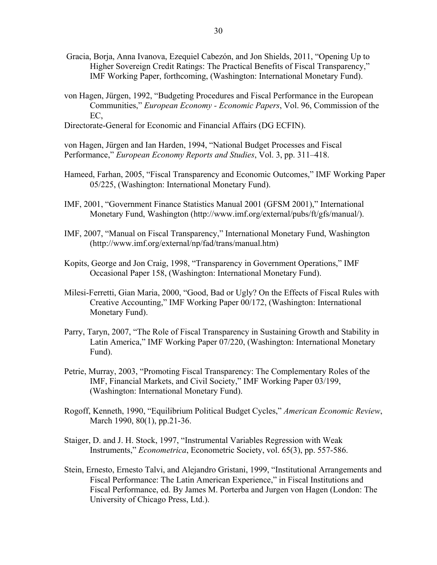- Gracia, Borja, Anna Ivanova, Ezequiel Cabezón, and Jon Shields, 2011, "Opening Up to Higher Sovereign Credit Ratings: The Practical Benefits of Fiscal Transparency," IMF Working Paper, forthcoming, (Washington: International Monetary Fund).
- von Hagen, Jürgen, 1992, "Budgeting Procedures and Fiscal Performance in the European Communities," *European Economy - Economic Papers*, Vol. 96, Commission of the EC,
- Directorate-General for Economic and Financial Affairs (DG ECFIN).

von Hagen, Jürgen and Ian Harden, 1994, "National Budget Processes and Fiscal Performance," *European Economy Reports and Studies*, Vol. 3, pp. 311–418.

- Hameed, Farhan, 2005, "Fiscal Transparency and Economic Outcomes," IMF Working Paper 05/225, (Washington: International Monetary Fund).
- IMF, 2001, "Government Finance Statistics Manual 2001 (GFSM 2001)," International Monetary Fund, Washington (http://www.imf.org/external/pubs/ft/gfs/manual/).
- IMF, 2007, "Manual on Fiscal Transparency," International Monetary Fund, Washington (http://www.imf.org/external/np/fad/trans/manual.htm)
- Kopits, George and Jon Craig, 1998, "Transparency in Government Operations," IMF Occasional Paper 158, (Washington: International Monetary Fund).
- Milesi-Ferretti, Gian Maria, 2000, "Good, Bad or Ugly? On the Effects of Fiscal Rules with Creative Accounting," IMF Working Paper 00/172, (Washington: International Monetary Fund).
- Parry, Taryn, 2007, "The Role of Fiscal Transparency in Sustaining Growth and Stability in Latin America," IMF Working Paper 07/220, (Washington: International Monetary Fund).
- Petrie, Murray, 2003, "Promoting Fiscal Transparency: The Complementary Roles of the IMF, Financial Markets, and Civil Society," IMF Working Paper 03/199, (Washington: International Monetary Fund).
- Rogoff, Kenneth, 1990, "Equilibrium Political Budget Cycles," *American Economic Review*, March 1990, 80(1), pp.21-36.
- Staiger, D. and J. H. Stock, 1997, "Instrumental Variables Regression with Weak Instruments," *Econometrica*, Econometric Society, vol. 65(3), pp. 557-586.
- Stein, Ernesto, Ernesto Talvi, and Alejandro Gristani, 1999, "Institutional Arrangements and Fiscal Performance: The Latin American Experience," in Fiscal Institutions and Fiscal Performance, ed. By James M. Porterba and Jurgen von Hagen (London: The University of Chicago Press, Ltd.).